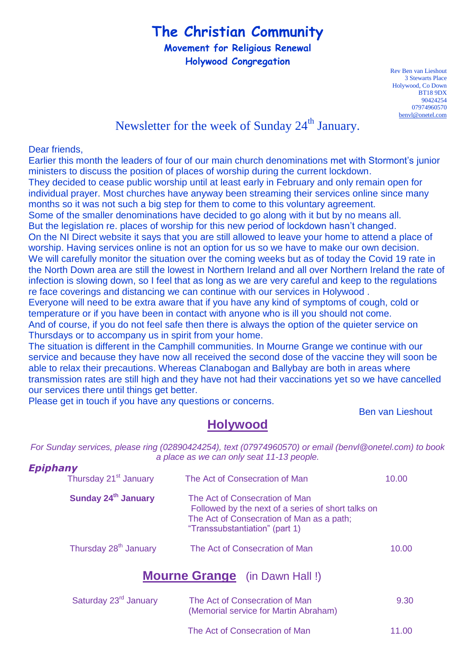# **The Christian Community**

**Movement for Religious Renewal Holywood Congregation**

> Rev Ben van Lieshout 3 Stewarts Place Holywood, Co Down BT18 9DX 90424254 07974960570 [benvl@onetel.com](mailto:benvl@onetel.com)

## Newsletter for the week of Sunday 24<sup>th</sup> January.

#### Dear friends,

Earlier this month the leaders of four of our main church denominations met with Stormont's junior ministers to discuss the position of places of worship during the current lockdown. They decided to cease public worship until at least early in February and only remain open for individual prayer. Most churches have anyway been streaming their services online since many months so it was not such a big step for them to come to this voluntary agreement. Some of the smaller denominations have decided to go along with it but by no means all. But the legislation re. places of worship for this new period of lockdown hasn't changed. On the NI Direct website it says that you are still allowed to leave your home to attend a place of worship. Having services online is not an option for us so we have to make our own decision. We will carefully monitor the situation over the coming weeks but as of today the Covid 19 rate in the North Down area are still the lowest in Northern Ireland and all over Northern Ireland the rate of infection is slowing down, so I feel that as long as we are very careful and keep to the regulations re face coverings and distancing we can continue with our services in Holywood . Everyone will need to be extra aware that if you have any kind of symptoms of cough, cold or temperature or if you have been in contact with anyone who is ill you should not come.

And of course, if you do not feel safe then there is always the option of the quieter service on Thursdays or to accompany us in spirit from your home.

The situation is different in the Camphill communities. In Mourne Grange we continue with our service and because they have now all received the second dose of the vaccine they will soon be able to relax their precautions. Whereas Clanabogan and Ballybay are both in areas where transmission rates are still high and they have not had their vaccinations yet so we have cancelled our services there until things get better.

Please get in touch if you have any questions or concerns.

Ben van Lieshout

#### **Holywood**

*For Sunday services, please ring (02890424254), text (07974960570) or email (benvl@onetel.com) to book a place as we can only seat 11-13 people.*

| <b>Epiphany</b> | Thursday 21 <sup>st</sup> January | The Act of Consecration of Man                                                                                                                                      | 10.00 |
|-----------------|-----------------------------------|---------------------------------------------------------------------------------------------------------------------------------------------------------------------|-------|
|                 | Sunday 24 <sup>th</sup> January   | The Act of Consecration of Man<br>Followed by the next of a series of short talks on<br>The Act of Consecration of Man as a path;<br>"Transsubstantiation" (part 1) |       |
|                 | Thursday 28 <sup>th</sup> January | The Act of Consecration of Man                                                                                                                                      | 10.00 |

#### **Mourne Grange** (in Dawn Hall !)

| Saturday 23 <sup>rd</sup> January | The Act of Consecration of Man<br>(Memorial service for Martin Abraham) | 9.30  |
|-----------------------------------|-------------------------------------------------------------------------|-------|
|                                   | The Act of Consecration of Man                                          | 11.00 |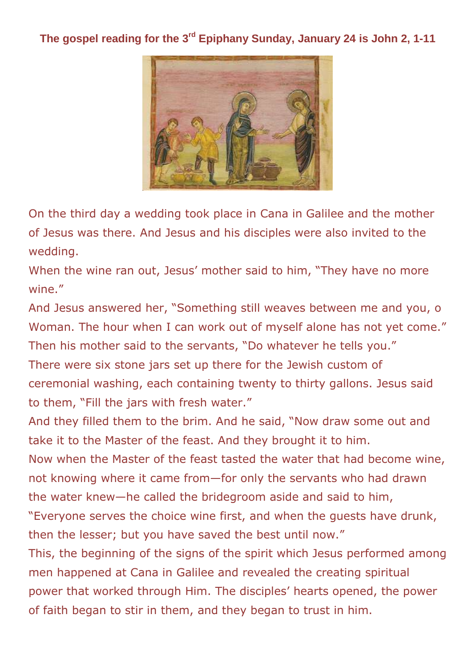### **The gospel reading for the 3rd Epiphany Sunday, January 24 is John 2, 1-11**



On the third day a wedding took place in Cana in Galilee and the mother of Jesus was there. And Jesus and his disciples were also invited to the wedding.

When the wine ran out, Jesus' mother said to him, "They have no more wine."

And Jesus answered her, "Something still weaves between me and you, o Woman. The hour when I can work out of myself alone has not yet come." Then his mother said to the servants, "Do whatever he tells you." There were six stone jars set up there for the Jewish custom of ceremonial washing, each containing twenty to thirty gallons. Jesus said to them, "Fill the jars with fresh water."

And they filled them to the brim. And he said, "Now draw some out and take it to the Master of the feast. And they brought it to him.

Now when the Master of the feast tasted the water that had become wine, not knowing where it came from—for only the servants who had drawn the water knew—he called the bridegroom aside and said to him,

"Everyone serves the choice wine first, and when the guests have drunk, then the lesser; but you have saved the best until now."

This, the beginning of the signs of the spirit which Jesus performed among men happened at Cana in Galilee and revealed the creating spiritual power that worked through Him. The disciples' hearts opened, the power of faith began to stir in them, and they began to trust in him.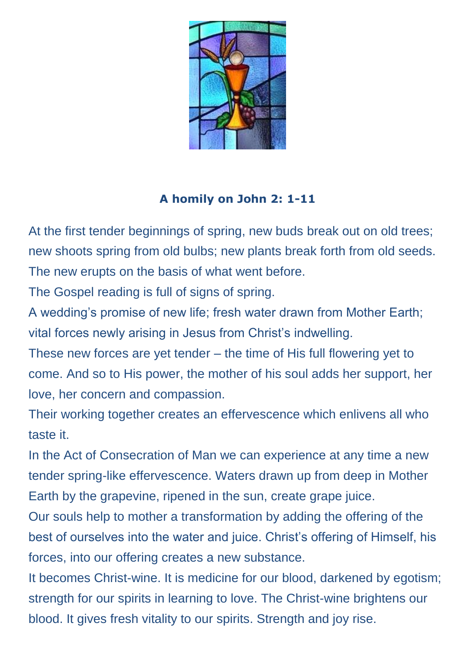

## **A homily on John 2: 1-11**

At the first tender beginnings of spring, new buds break out on old trees; new shoots spring from old bulbs; new plants break forth from old seeds. The new erupts on the basis of what went before.

The Gospel reading is full of signs of spring.

A wedding's promise of new life; fresh water drawn from Mother Earth; vital forces newly arising in Jesus from Christ's indwelling.

These new forces are yet tender – the time of His full flowering yet to come. And so to His power, the mother of his soul adds her support, her love, her concern and compassion.

Their working together creates an effervescence which enlivens all who taste it.

In the Act of Consecration of Man we can experience at any time a new tender spring-like effervescence. Waters drawn up from deep in Mother Earth by the grapevine, ripened in the sun, create grape juice.

Our souls help to mother a transformation by adding the offering of the best of ourselves into the water and juice. Christ's offering of Himself, his forces, into our offering creates a new substance.

It becomes Christ-wine. It is medicine for our blood, darkened by egotism; strength for our spirits in learning to love. The Christ-wine brightens our blood. It gives fresh vitality to our spirits. Strength and joy rise.